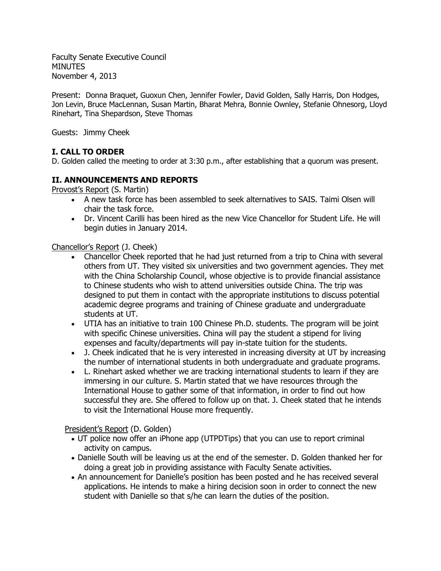Faculty Senate Executive Council MINUTES November 4, 2013

Present: Donna Braquet, Guoxun Chen, Jennifer Fowler, David Golden, Sally Harris, Don Hodges, Jon Levin, Bruce MacLennan, Susan Martin, Bharat Mehra, Bonnie Ownley, Stefanie Ohnesorg, Lloyd Rinehart, Tina Shepardson, Steve Thomas

Guests: Jimmy Cheek

# **I. CALL TO ORDER**

D. Golden called the meeting to order at 3:30 p.m., after establishing that a quorum was present.

## **II. ANNOUNCEMENTS AND REPORTS**

Provost's Report (S. Martin)

- A new task force has been assembled to seek alternatives to SAIS. Taimi Olsen will chair the task force.
- Dr. Vincent Carilli has been hired as the new Vice Chancellor for Student Life. He will begin duties in January 2014.

### Chancellor's Report (J. Cheek)

- Chancellor Cheek reported that he had just returned from a trip to China with several others from UT. They visited six universities and two government agencies. They met with the China Scholarship Council, whose objective is to provide financial assistance to Chinese students who wish to attend universities outside China. The trip was designed to put them in contact with the appropriate institutions to discuss potential academic degree programs and training of Chinese graduate and undergraduate students at UT.
- UTIA has an initiative to train 100 Chinese Ph.D. students. The program will be joint with specific Chinese universities. China will pay the student a stipend for living expenses and faculty/departments will pay in-state tuition for the students.
- J. Cheek indicated that he is very interested in increasing diversity at UT by increasing the number of international students in both undergraduate and graduate programs.
- L. Rinehart asked whether we are tracking international students to learn if they are immersing in our culture. S. Martin stated that we have resources through the International House to gather some of that information, in order to find out how successful they are. She offered to follow up on that. J. Cheek stated that he intends to visit the International House more frequently.

President's Report (D. Golden)

- UT police now offer an iPhone app (UTPDTips) that you can use to report criminal activity on campus.
- Danielle South will be leaving us at the end of the semester. D. Golden thanked her for doing a great job in providing assistance with Faculty Senate activities.
- An announcement for Danielle's position has been posted and he has received several applications. He intends to make a hiring decision soon in order to connect the new student with Danielle so that s/he can learn the duties of the position.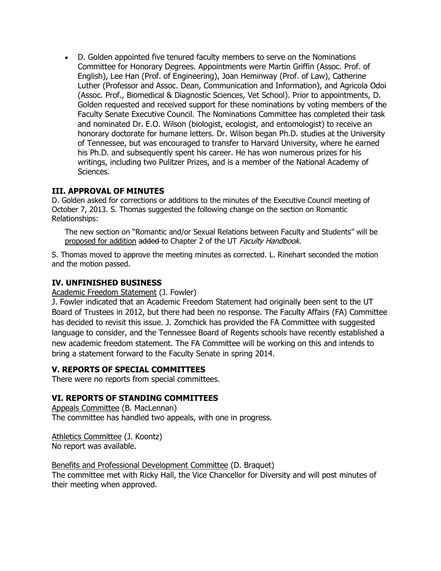D. Golden appointed five tenured faculty members to serve on the Nominations Committee for Honorary Degrees. Appointments were Martin Griffin (Assoc. Prof. of English), Lee Han (Prof. of Engineering), Joan Heminway (Prof. of Law), Catherine Luther (Professor and Assoc. Dean, Communication and Information), and Agricola Odoi (Assoc. Prof., Biomedical & Diagnostic Sciences, Vet School). Prior to appointments, D. Golden requested and received support for these nominations by voting members of the Faculty Senate Executive Council. The Nominations Committee has completed their task and nominated Dr. E.O. Wilson (biologist, ecologist, and entomologist) to receive an honorary doctorate for humane letters. Dr. Wilson began Ph.D. studies at the University of Tennessee, but was encouraged to transfer to Harvard University, where he earned his Ph.D. and subsequently spent his career. He has won numerous prizes for his writings, including two Pulitzer Prizes, and is a member of the National Academy of Sciences.

## **III. APPROVAL OF MINUTES**

D. Golden asked for corrections or additions to the minutes of the Executive Council meeting of October 7, 2013. S. Thomas suggested the following change on the section on Romantic Relationships:

The new section on "Romantic and/or Sexual Relations between Faculty and Students" will be proposed for addition added to Chapter 2 of the UT Faculty Handbook.

S. Thomas moved to approve the meeting minutes as corrected. L. Rinehart seconded the motion and the motion passed.

## **IV. UNFINISHED BUSINESS**

Academic Freedom Statement (J. Fowler)

J. Fowler indicated that an Academic Freedom Statement had originally been sent to the UT Board of Trustees in 2012, but there had been no response. The Faculty Affairs (FA) Committee has decided to revisit this issue. J. Zomchick has provided the FA Committee with suggested language to consider, and the Tennessee Board of Regents schools have recently established a new academic freedom statement. The FA Committee will be working on this and intends to bring a statement forward to the Faculty Senate in spring 2014.

### **V. REPORTS OF SPECIAL COMMITTEES**

There were no reports from special committees.

### **VI. REPORTS OF STANDING COMMITTEES**

Appeals Committee (B. MacLennan) The committee has handled two appeals, with one in progress.

Athletics Committee (J. Koontz) No report was available.

Benefits and Professional Development Committee (D. Braquet) The committee met with Ricky Hall, the Vice Chancellor for Diversity and will post minutes of their meeting when approved.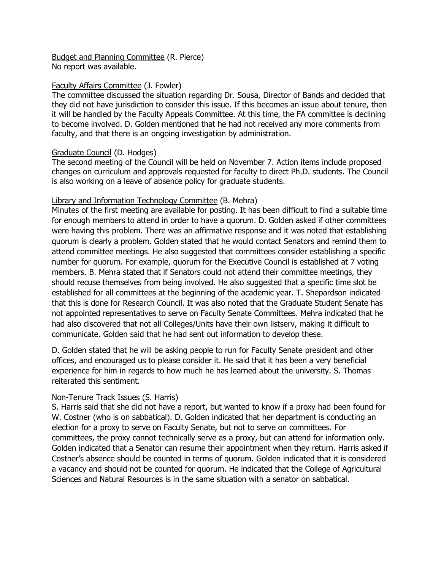Budget and Planning Committee (R. Pierce) No report was available.

### Faculty Affairs Committee (J. Fowler)

The committee discussed the situation regarding Dr. Sousa, Director of Bands and decided that they did not have jurisdiction to consider this issue. If this becomes an issue about tenure, then it will be handled by the Faculty Appeals Committee. At this time, the FA committee is declining to become involved. D. Golden mentioned that he had not received any more comments from faculty, and that there is an ongoing investigation by administration.

## Graduate Council (D. Hodges)

The second meeting of the Council will be held on November 7. Action items include proposed changes on curriculum and approvals requested for faculty to direct Ph.D. students. The Council is also working on a leave of absence policy for graduate students.

## Library and Information Technology Committee (B. Mehra)

Minutes of the first meeting are available for posting. It has been difficult to find a suitable time for enough members to attend in order to have a quorum. D. Golden asked if other committees were having this problem. There was an affirmative response and it was noted that establishing quorum is clearly a problem. Golden stated that he would contact Senators and remind them to attend committee meetings. He also suggested that committees consider establishing a specific number for quorum. For example, quorum for the Executive Council is established at 7 voting members. B. Mehra stated that if Senators could not attend their committee meetings, they should recuse themselves from being involved. He also suggested that a specific time slot be established for all committees at the beginning of the academic year. T. Shepardson indicated that this is done for Research Council. It was also noted that the Graduate Student Senate has not appointed representatives to serve on Faculty Senate Committees. Mehra indicated that he had also discovered that not all Colleges/Units have their own listserv, making it difficult to communicate. Golden said that he had sent out information to develop these.

D. Golden stated that he will be asking people to run for Faculty Senate president and other offices, and encouraged us to please consider it. He said that it has been a very beneficial experience for him in regards to how much he has learned about the university. S. Thomas reiterated this sentiment.

### Non-Tenure Track Issues (S. Harris)

S. Harris said that she did not have a report, but wanted to know if a proxy had been found for W. Costner (who is on sabbatical). D. Golden indicated that her department is conducting an election for a proxy to serve on Faculty Senate, but not to serve on committees. For committees, the proxy cannot technically serve as a proxy, but can attend for information only. Golden indicated that a Senator can resume their appointment when they return. Harris asked if Costner's absence should be counted in terms of quorum. Golden indicated that it is considered a vacancy and should not be counted for quorum. He indicated that the College of Agricultural Sciences and Natural Resources is in the same situation with a senator on sabbatical.